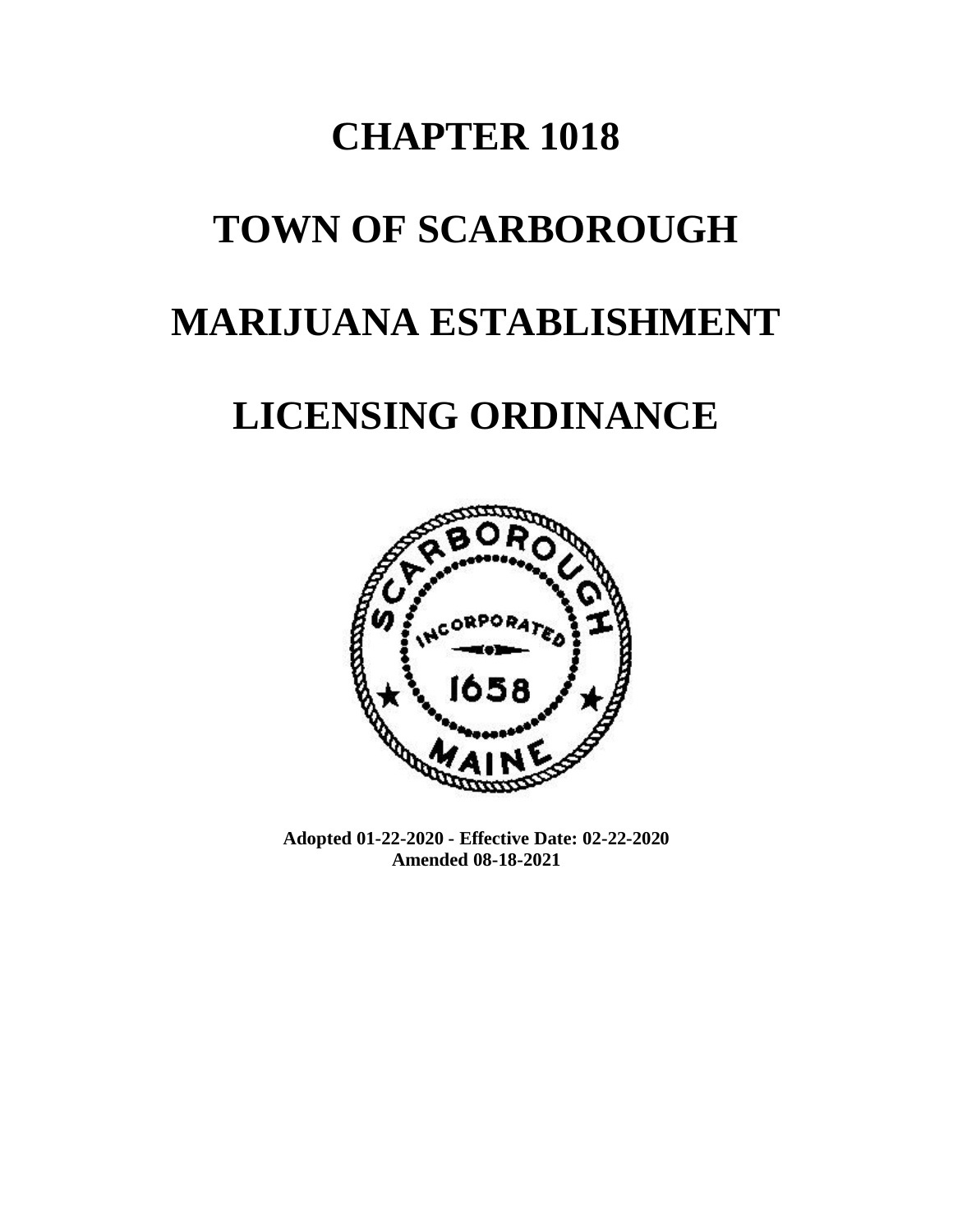# **CHAPTER 1018**

# **TOWN OF SCARBOROUGH**

# **MARIJUANA ESTABLISHMENT**

# **LICENSING ORDINANCE**



**Adopted 01-22-2020 - Effective Date: 02-22-2020 Amended 08-18-2021**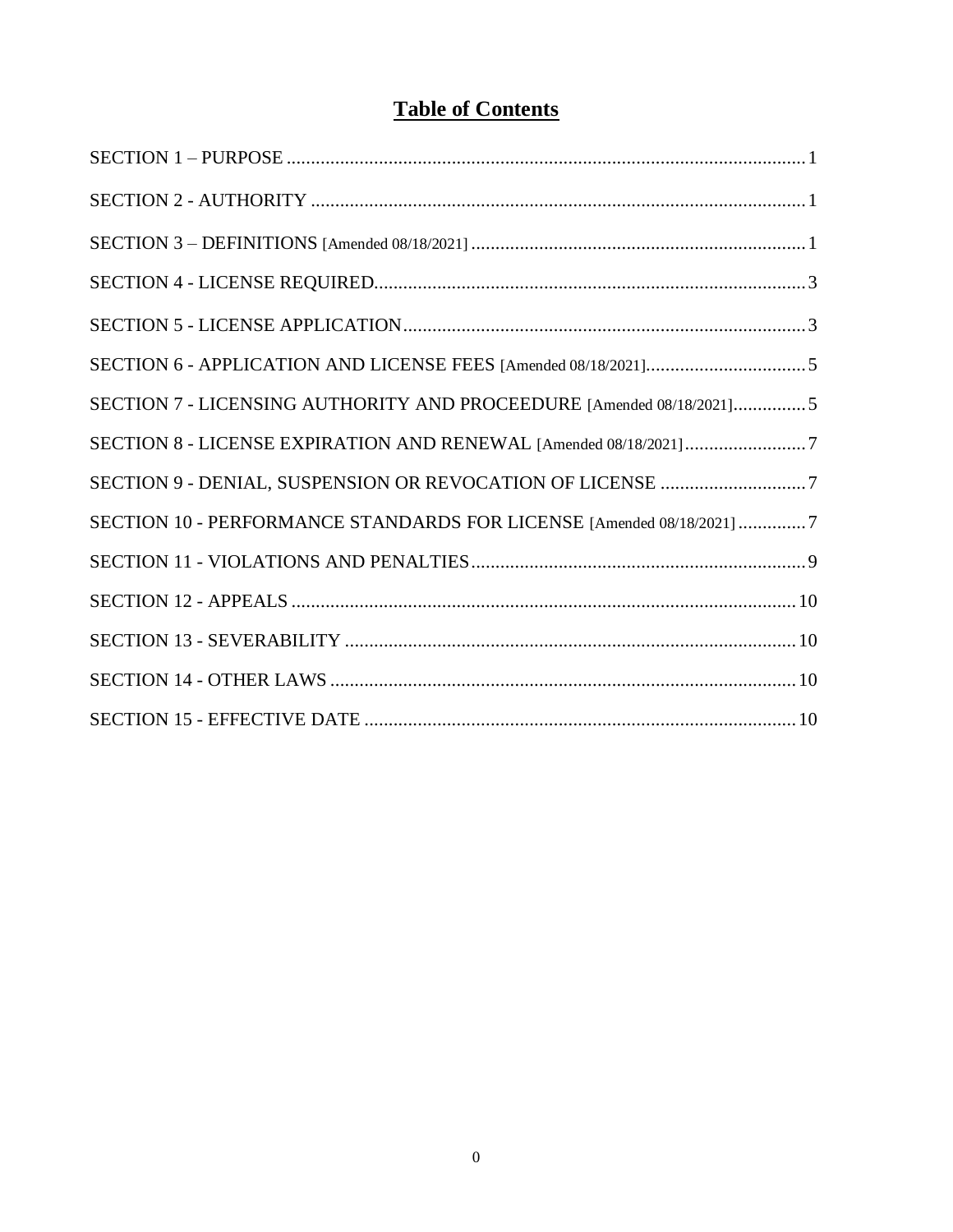# **Table of Contents**

| SECTION 7 - LICENSING AUTHORITY AND PROCEEDURE [Amended 08/18/2021]5  |
|-----------------------------------------------------------------------|
| SECTION 8 - LICENSE EXPIRATION AND RENEWAL [Amended 08/18/2021]7      |
| SECTION 9 - DENIAL, SUSPENSION OR REVOCATION OF LICENSE 7             |
| SECTION 10 - PERFORMANCE STANDARDS FOR LICENSE [Amended 08/18/2021] 7 |
|                                                                       |
|                                                                       |
|                                                                       |
|                                                                       |
|                                                                       |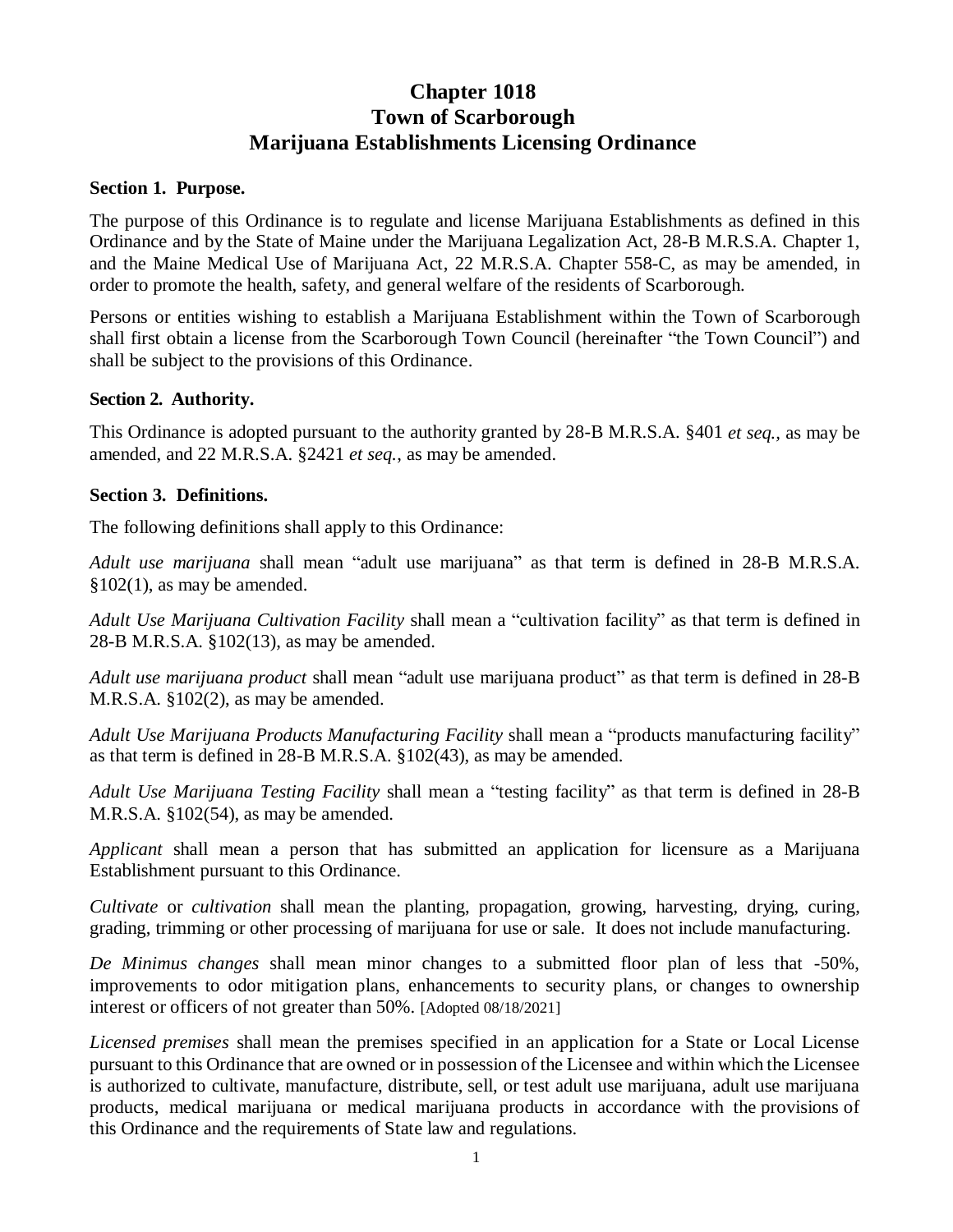# **Chapter 1018 Town of Scarborough Marijuana Establishments Licensing Ordinance**

#### **Section 1. Purpose.**

The purpose of this Ordinance is to regulate and license Marijuana Establishments as defined in this Ordinance and by the State of Maine under the Marijuana Legalization Act, 28-B M.R.S.A. Chapter 1, and the Maine Medical Use of Marijuana Act, 22 M.R.S.A. Chapter 558-C, as may be amended, in order to promote the health, safety, and general welfare of the residents of Scarborough.

Persons or entities wishing to establish a Marijuana Establishment within the Town of Scarborough shall first obtain a license from the Scarborough Town Council (hereinafter "the Town Council") and shall be subject to the provisions of this Ordinance.

#### **Section 2. Authority.**

This Ordinance is adopted pursuant to the authority granted by 28-B M.R.S.A. §401 *et seq.,* as may be amended, and 22 M.R.S.A. §2421 *et seq.*, as may be amended.

#### **Section 3. Definitions.**

The following definitions shall apply to this Ordinance:

*Adult use marijuana* shall mean "adult use marijuana" as that term is defined in 28-B M.R.S.A. §102(1), as may be amended.

*Adult Use Marijuana Cultivation Facility* shall mean a "cultivation facility" as that term is defined in 28-B M.R.S.A. §102(13), as may be amended.

*Adult use marijuana product* shall mean "adult use marijuana product" as that term is defined in 28-B M.R.S.A. §102(2), as may be amended.

*Adult Use Marijuana Products Manufacturing Facility* shall mean a "products manufacturing facility" as that term is defined in 28-B M.R.S.A. §102(43), as may be amended.

*Adult Use Marijuana Testing Facility* shall mean a "testing facility" as that term is defined in 28-B M.R.S.A. §102(54), as may be amended.

*Applicant* shall mean a person that has submitted an application for licensure as a Marijuana Establishment pursuant to this Ordinance.

*Cultivate* or *cultivation* shall mean the planting, propagation, growing, harvesting, drying, curing, grading, trimming or other processing of marijuana for use or sale. It does not include manufacturing.

*De Minimus changes* shall mean minor changes to a submitted floor plan of less that -50%, improvements to odor mitigation plans, enhancements to security plans, or changes to ownership interest or officers of not greater than 50%. [Adopted 08/18/2021]

*Licensed premises* shall mean the premises specified in an application for a State or Local License pursuant to this Ordinance that are owned or in possession of the Licensee and within which the Licensee is authorized to cultivate, manufacture, distribute, sell, or test adult use marijuana, adult use marijuana products, medical marijuana or medical marijuana products in accordance with the provisions of this Ordinance and the requirements of State law and regulations.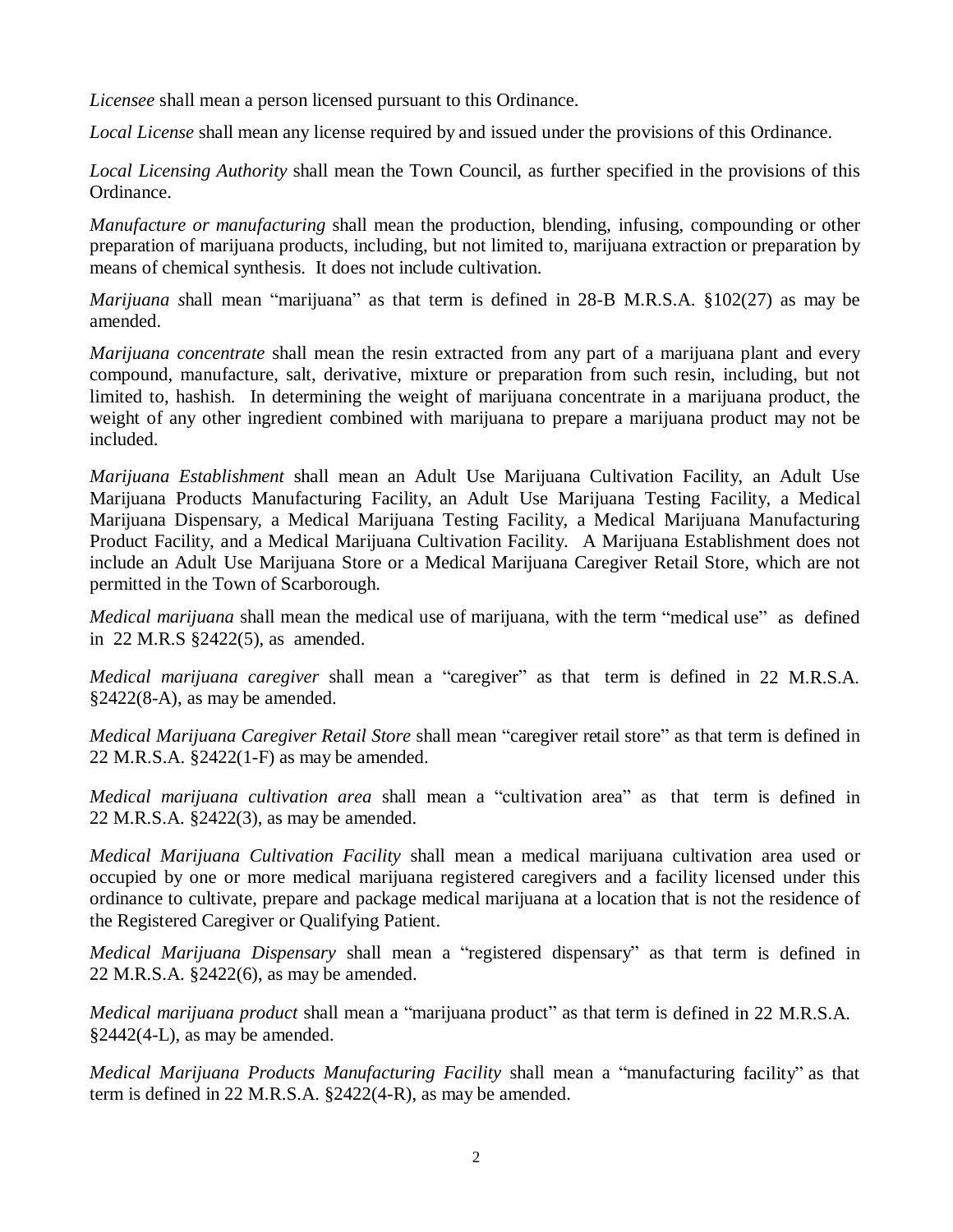*Licensee* shall mean a person licensed pursuant to this Ordinance.

*Local License* shall mean any license required by and issued under the provisions of this Ordinance.

*Local Licensing Authority* shall mean the Town Council, as further specified in the provisions of this Ordinance.

*Manufacture or manufacturing* shall mean the production, blending, infusing, compounding or other preparation of marijuana products, including, but not limited to, marijuana extraction or preparation by means of chemical synthesis. It does not include cultivation.

*Marijuana s*hall mean "marijuana" as that term is defined in 28-B M.R.S.A. §102(27) as may be amended.

*Marijuana concentrate* shall mean the resin extracted from any part of a marijuana plant and every compound, manufacture, salt, derivative, mixture or preparation from such resin, including, but not limited to, hashish. In determining the weight of marijuana concentrate in a marijuana product, the weight of any other ingredient combined with marijuana to prepare a marijuana product may not be included.

*Marijuana Establishment* shall mean an Adult Use Marijuana Cultivation Facility, an Adult Use Marijuana Products Manufacturing Facility, an Adult Use Marijuana Testing Facility, a Medical Marijuana Dispensary, a Medical Marijuana Testing Facility, a Medical Marijuana Manufacturing Product Facility, and a Medical Marijuana Cultivation Facility. A Marijuana Establishment does not include an Adult Use Marijuana Store or a Medical Marijuana Caregiver Retail Store, which are not permitted in the Town of Scarborough.

*Medical marijuana* shall mean the medical use of marijuana, with the term "medical use" as defined in 22 M.R.S §2422(5), as amended.

*Medical marijuana caregiver* shall mean a "caregiver" as that term is defined in 22 M.R.S.A. §2422(8-A), as may be amended.

*Medical Marijuana Caregiver Retail Store* shall mean "caregiver retail store" as that term is defined in 22 M.R.S.A. §2422(1-F) as may be amended.

*Medical marijuana cultivation area* shall mean a "cultivation area" as that term is defined in 22 M.R.S.A. §2422(3), as may be amended.

*Medical Marijuana Cultivation Facility* shall mean a medical marijuana cultivation area used or occupied by one or more medical marijuana registered caregivers and a facility licensed under this ordinance to cultivate, prepare and package medical marijuana at a location that is not the residence of the Registered Caregiver or Qualifying Patient.

*Medical Marijuana Dispensary* shall mean a "registered dispensary" as that term is defined in 22 M.R.S.A. §2422(6), as may be amended.

*Medical marijuana product* shall mean a "marijuana product" as that term is defined in 22 M.R.S.A. §2442(4-L), as may be amended.

*Medical Marijuana Products Manufacturing Facility* shall mean a "manufacturing facility" as that term is defined in 22 M.R.S.A. §2422(4-R), as may be amended.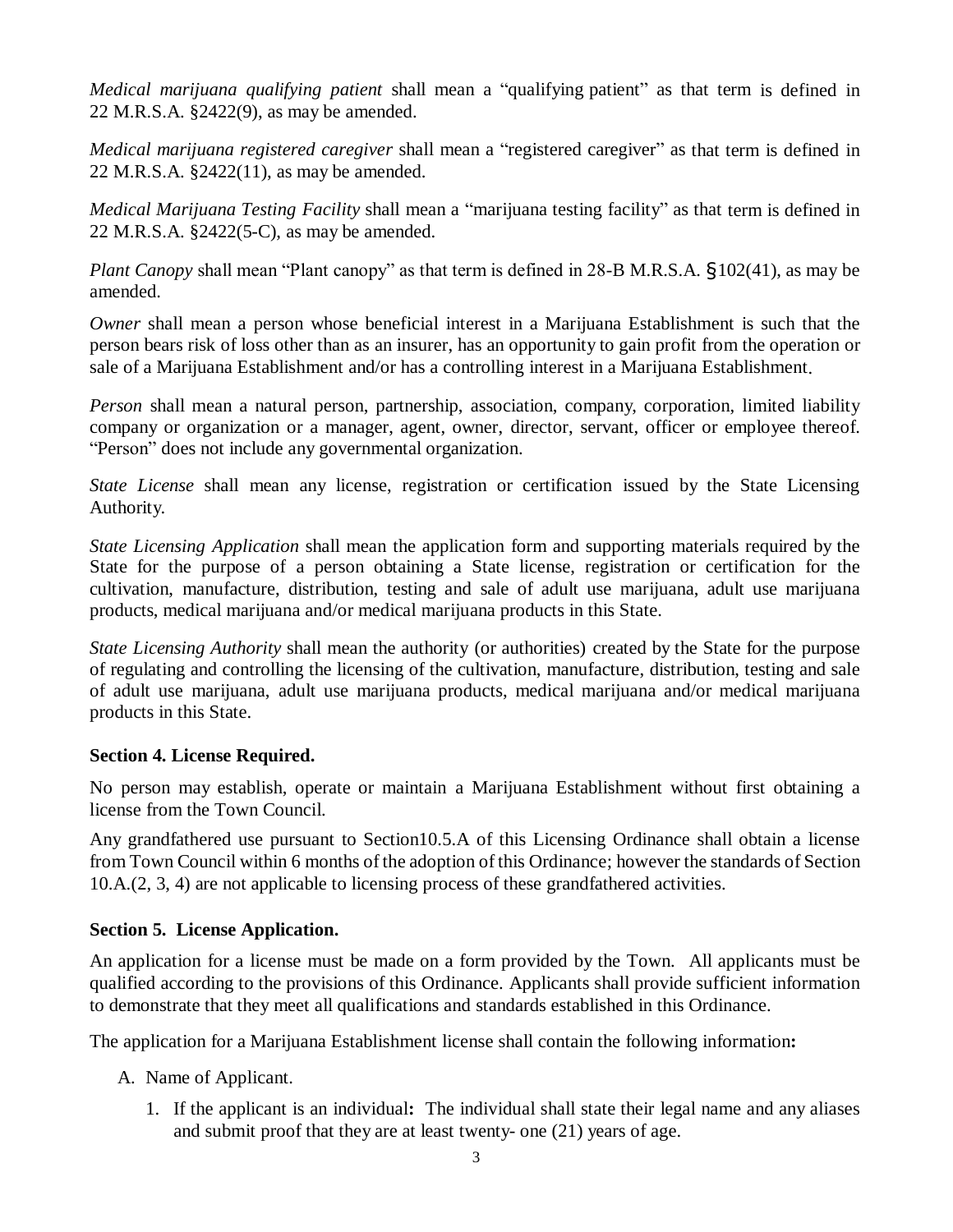*Medical marijuana qualifying patient* shall mean a "qualifying patient" as that term is defined in 22 M.R.S.A. §2422(9), as may be amended.

*Medical marijuana registered caregiver* shall mean a "registered caregiver" as that term is defined in 22 M.R.S.A. §2422(11), as may be amended.

*Medical Marijuana Testing Facility* shall mean a "marijuana testing facility" as that term is defined in 22 M.R.S.A. §2422(5-C), as may be amended.

*Plant Canopy* shall mean "Plant canopy" as that term is defined in 28-B M.R.S.A. §102(41), as may be amended.

*Owner* shall mean a person whose beneficial interest in a Marijuana Establishment is such that the person bears risk of loss other than as an insurer, has an opportunity to gain profit from the operation or sale of a Marijuana Establishment and/or has a controlling interest in a Marijuana Establishment.

*Person* shall mean a natural person, partnership, association, company, corporation, limited liability company or organization or a manager, agent, owner, director, servant, officer or employee thereof. "Person" does not include any governmental organization.

*State License* shall mean any license, registration or certification issued by the State Licensing Authority.

*State Licensing Application* shall mean the application form and supporting materials required by the State for the purpose of a person obtaining a State license, registration or certification for the cultivation, manufacture, distribution, testing and sale of adult use marijuana, adult use marijuana products, medical marijuana and/or medical marijuana products in this State.

*State Licensing Authority* shall mean the authority (or authorities) created by the State for the purpose of regulating and controlling the licensing of the cultivation, manufacture, distribution, testing and sale of adult use marijuana, adult use marijuana products, medical marijuana and/or medical marijuana products in this State.

#### **Section 4. License Required.**

No person may establish, operate or maintain a Marijuana Establishment without first obtaining a license from the Town Council.

Any grandfathered use pursuant to Section10.5.A of this Licensing Ordinance shall obtain a license from Town Council within 6 months of the adoption of this Ordinance; however the standards of Section 10.A.(2, 3, 4) are not applicable to licensing process of these grandfathered activities.

# **Section 5. License Application.**

An application for a license must be made on a form provided by the Town. All applicants must be qualified according to the provisions of this Ordinance. Applicants shall provide sufficient information to demonstrate that they meet all qualifications and standards established in this Ordinance.

The application for a Marijuana Establishment license shall contain the following information**:**

- A. Name of Applicant.
	- 1. If the applicant is an individual**:** The individual shall state their legal name and any aliases and submit proof that they are at least twenty- one (21) years of age.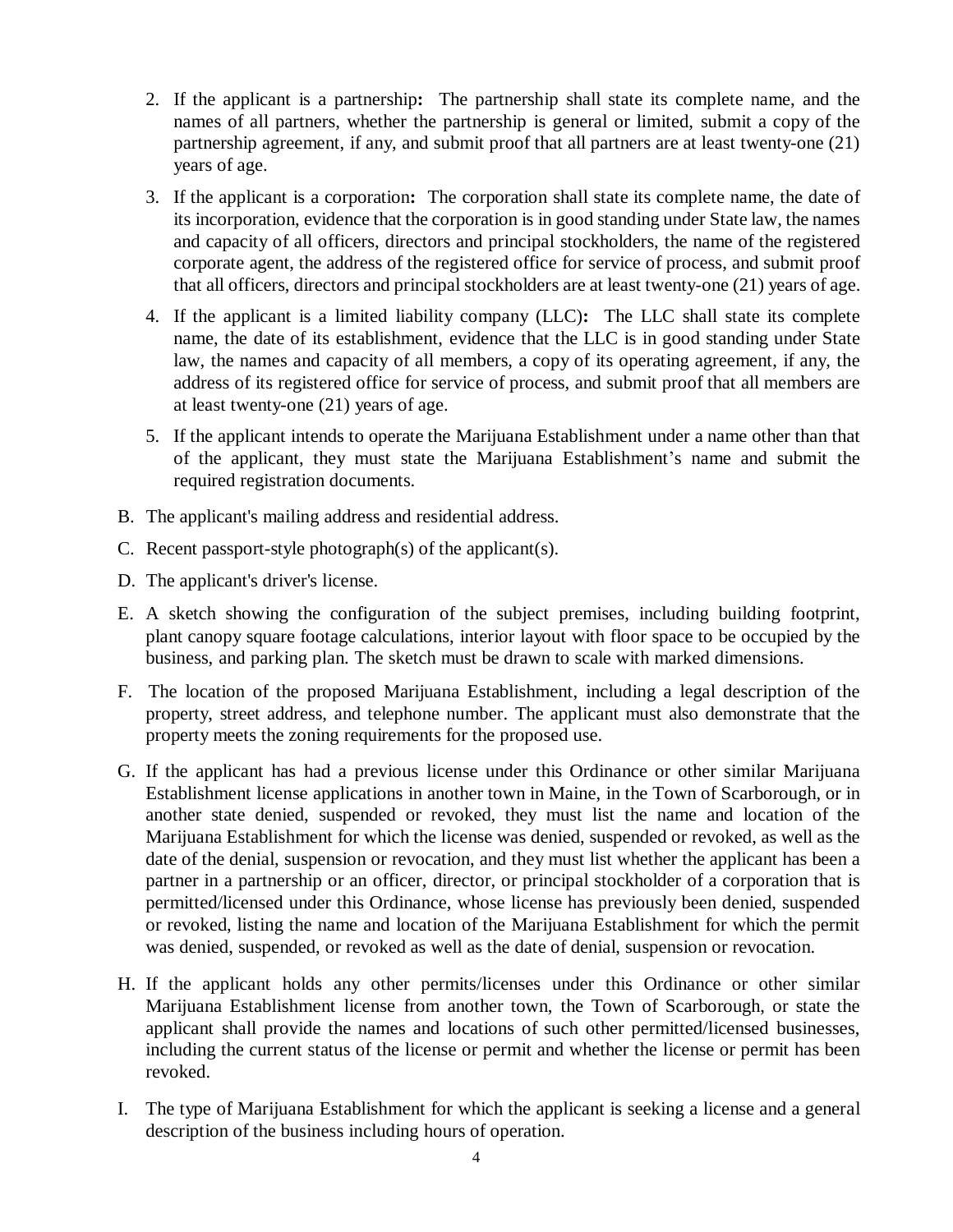- 2. If the applicant is a partnership**:** The partnership shall state its complete name, and the names of all partners, whether the partnership is general or limited, submit a copy of the partnership agreement, if any, and submit proof that all partners are at least twenty-one (21) years of age.
- 3. If the applicant is a corporation**:** The corporation shall state its complete name, the date of its incorporation, evidence that the corporation is in good standing under State law, the names and capacity of all officers, directors and principal stockholders, the name of the registered corporate agent, the address of the registered office for service of process, and submit proof that all officers, directors and principal stockholders are at least twenty-one (21) years of age.
- 4. If the applicant is a limited liability company (LLC)**:** The LLC shall state its complete name, the date of its establishment, evidence that the LLC is in good standing under State law, the names and capacity of all members, a copy of its operating agreement, if any, the address of its registered office for service of process, and submit proof that all members are at least twenty-one (21) years of age.
- 5. If the applicant intends to operate the Marijuana Establishment under a name other than that of the applicant, they must state the Marijuana Establishment's name and submit the required registration documents.
- B. The applicant's mailing address and residential address.
- C. Recent passport-style photograph(s) of the applicant(s).
- D. The applicant's driver's license.
- E. A sketch showing the configuration of the subject premises, including building footprint, plant canopy square footage calculations, interior layout with floor space to be occupied by the business, and parking plan. The sketch must be drawn to scale with marked dimensions.
- F. The location of the proposed Marijuana Establishment, including a legal description of the property, street address, and telephone number. The applicant must also demonstrate that the property meets the zoning requirements for the proposed use.
- G. If the applicant has had a previous license under this Ordinance or other similar Marijuana Establishment license applications in another town in Maine, in the Town of Scarborough, or in another state denied, suspended or revoked, they must list the name and location of the Marijuana Establishment for which the license was denied, suspended or revoked, as well as the date of the denial, suspension or revocation, and they must list whether the applicant has been a partner in a partnership or an officer, director, or principal stockholder of a corporation that is permitted/licensed under this Ordinance, whose license has previously been denied, suspended or revoked, listing the name and location of the Marijuana Establishment for which the permit was denied, suspended, or revoked as well as the date of denial, suspension or revocation.
- H. If the applicant holds any other permits/licenses under this Ordinance or other similar Marijuana Establishment license from another town, the Town of Scarborough, or state the applicant shall provide the names and locations of such other permitted/licensed businesses, including the current status of the license or permit and whether the license or permit has been revoked.
- I. The type of Marijuana Establishment for which the applicant is seeking a license and a general description of the business including hours of operation.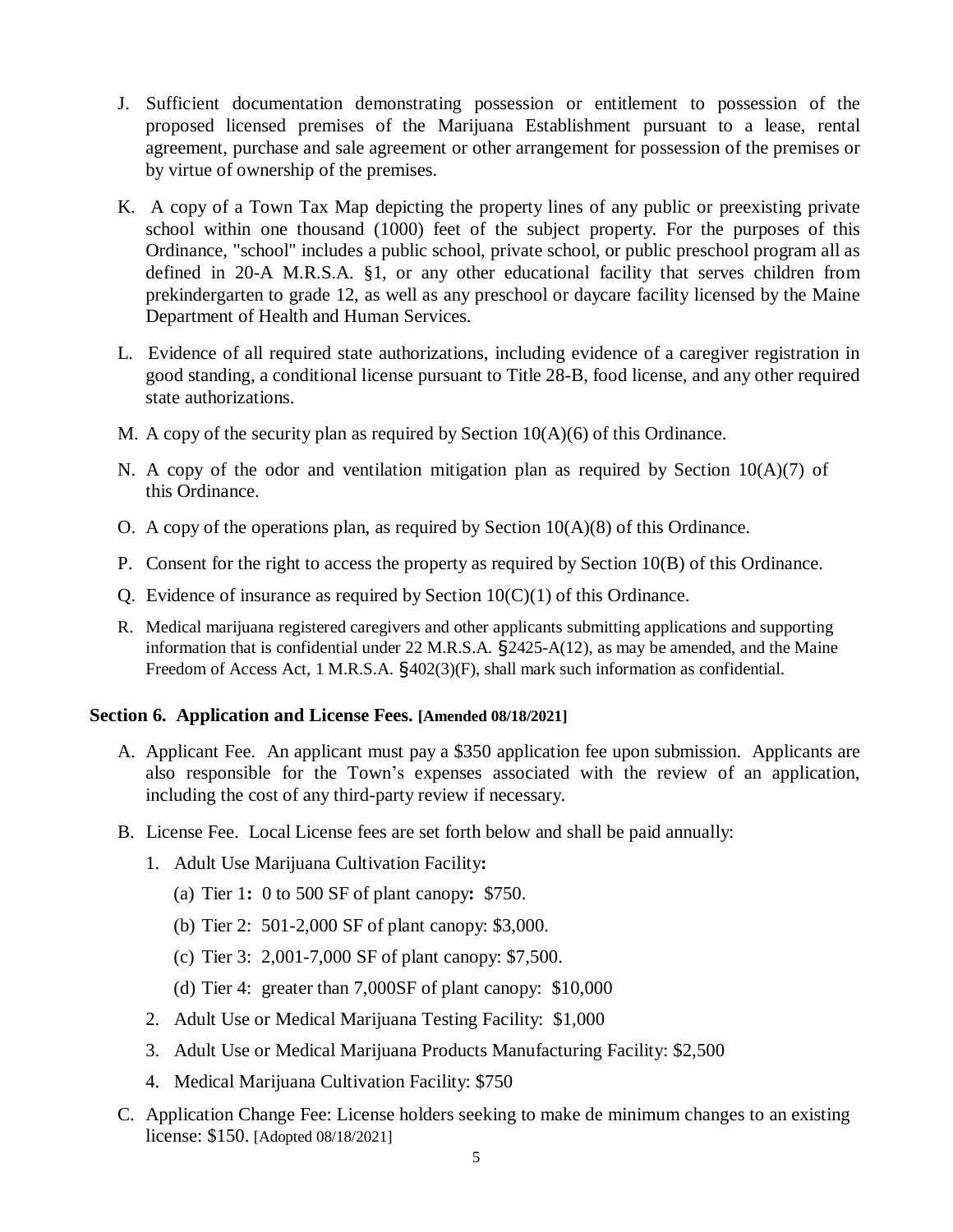- J. Sufficient documentation demonstrating possession or entitlement to possession of the proposed licensed premises of the Marijuana Establishment pursuant to a lease, rental agreement, purchase and sale agreement or other arrangement for possession of the premises or by virtue of ownership of the premises.
- K. A copy of a Town Tax Map depicting the property lines of any public or preexisting private school within one thousand (1000) feet of the subject property. For the purposes of this Ordinance, "school" includes a public school, private school, or public preschool program all as defined in 20-A M.R.S.A. §1, or any other educational facility that serves children from prekindergarten to grade 12, as well as any preschool or daycare facility licensed by the Maine Department of Health and Human Services.
- L. Evidence of all required state authorizations, including evidence of a caregiver registration in good standing, a conditional license pursuant to Title 28-B, food license, and any other required state authorizations.
- M. A copy of the security plan as required by Section  $10(A)(6)$  of this Ordinance.
- N. A copy of the odor and ventilation mitigation plan as required by Section  $10(A)(7)$  of this Ordinance.
- O. A copy of the operations plan, as required by Section 10(A)(8) of this Ordinance.
- P. Consent for the right to access the property as required by Section 10(B) of this Ordinance.
- Q. Evidence of insurance as required by Section  $10(C)(1)$  of this Ordinance.
- R. Medical marijuana registered caregivers and other applicants submitting applications and supporting information that is confidential under 22 M.R.S.A. §2425-A(12), as may be amended, and the Maine Freedom of Access Act, 1 M.R.S.A. §402(3)(F), shall mark such information as confidential.

#### **Section 6. Application and License Fees. [Amended 08/18/2021]**

- A. Applicant Fee. An applicant must pay a \$350 application fee upon submission. Applicants are also responsible for the Town's expenses associated with the review of an application, including the cost of any third-party review if necessary.
- B. License Fee. Local License fees are set forth below and shall be paid annually:
	- 1. Adult Use Marijuana Cultivation Facility**:**
		- (a) Tier 1**:** 0 to 500 SF of plant canopy**:** \$750.
		- (b) Tier 2: 501-2,000 SF of plant canopy: \$3,000.
		- (c) Tier 3: 2,001-7,000 SF of plant canopy: \$7,500.
		- (d) Tier 4: greater than 7,000SF of plant canopy: \$10,000
	- 2. Adult Use or Medical Marijuana Testing Facility: \$1,000
	- 3. Adult Use or Medical Marijuana Products Manufacturing Facility: \$2,500
	- 4. Medical Marijuana Cultivation Facility: \$750
- C. Application Change Fee: License holders seeking to make de minimum changes to an existing license: \$150. [Adopted 08/18/2021]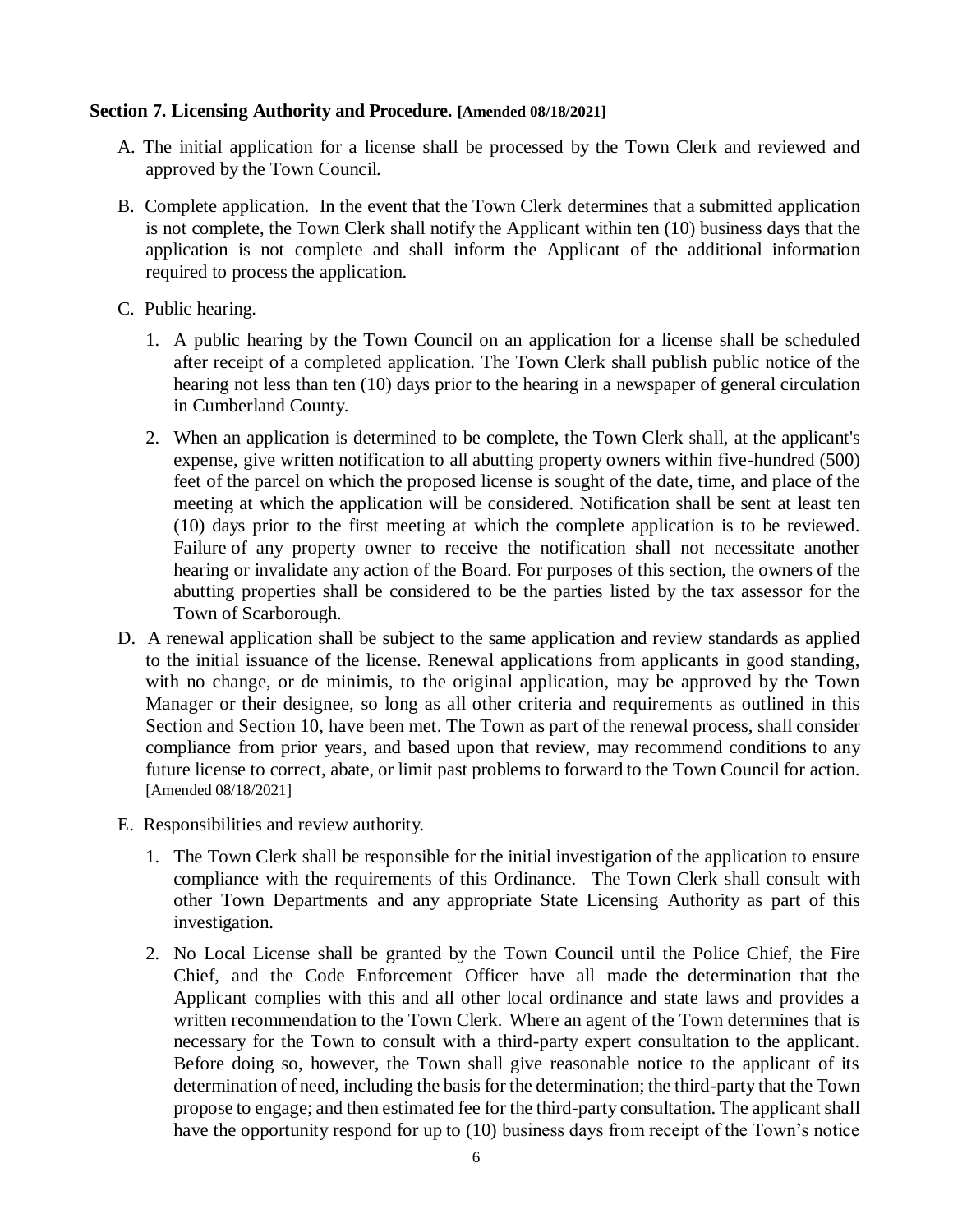#### **Section 7. Licensing Authority and Procedure. [Amended 08/18/2021]**

- A. The initial application for a license shall be processed by the Town Clerk and reviewed and approved by the Town Council.
- B. Complete application. In the event that the Town Clerk determines that a submitted application is not complete, the Town Clerk shall notify the Applicant within ten (10) business days that the application is not complete and shall inform the Applicant of the additional information required to process the application.
- C. Public hearing.
	- 1. A public hearing by the Town Council on an application for a license shall be scheduled after receipt of a completed application. The Town Clerk shall publish public notice of the hearing not less than ten (10) days prior to the hearing in a newspaper of general circulation in Cumberland County.
	- 2. When an application is determined to be complete, the Town Clerk shall, at the applicant's expense, give written notification to all abutting property owners within five-hundred (500) feet of the parcel on which the proposed license is sought of the date, time, and place of the meeting at which the application will be considered. Notification shall be sent at least ten (10) days prior to the first meeting at which the complete application is to be reviewed. Failure of any property owner to receive the notification shall not necessitate another hearing or invalidate any action of the Board. For purposes of this section, the owners of the abutting properties shall be considered to be the parties listed by the tax assessor for the Town of Scarborough.
- D. A renewal application shall be subject to the same application and review standards as applied to the initial issuance of the license. Renewal applications from applicants in good standing, with no change, or de minimis, to the original application, may be approved by the Town Manager or their designee, so long as all other criteria and requirements as outlined in this Section and Section 10, have been met. The Town as part of the renewal process, shall consider compliance from prior years, and based upon that review, may recommend conditions to any future license to correct, abate, or limit past problems to forward to the Town Council for action. [Amended 08/18/2021]
- E. Responsibilities and review authority.
	- 1. The Town Clerk shall be responsible for the initial investigation of the application to ensure compliance with the requirements of this Ordinance. The Town Clerk shall consult with other Town Departments and any appropriate State Licensing Authority as part of this investigation.
	- 2. No Local License shall be granted by the Town Council until the Police Chief, the Fire Chief, and the Code Enforcement Officer have all made the determination that the Applicant complies with this and all other local ordinance and state laws and provides a written recommendation to the Town Clerk. Where an agent of the Town determines that is necessary for the Town to consult with a third-party expert consultation to the applicant. Before doing so, however, the Town shall give reasonable notice to the applicant of its determination of need, including the basis for the determination; the third-party that the Town propose to engage; and then estimated fee for the third-party consultation. The applicant shall have the opportunity respond for up to (10) business days from receipt of the Town's notice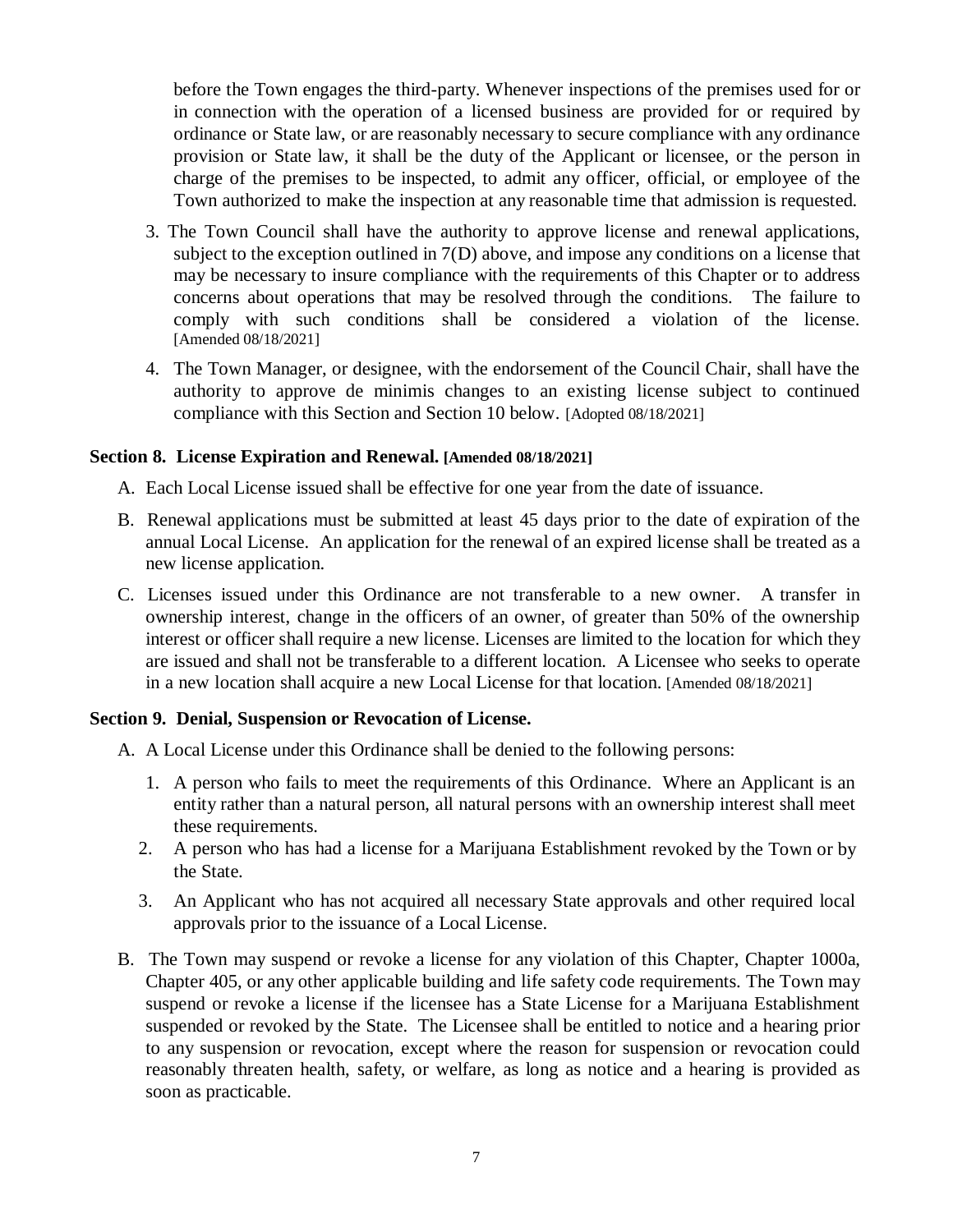before the Town engages the third-party. Whenever inspections of the premises used for or in connection with the operation of a licensed business are provided for or required by ordinance or State law, or are reasonably necessary to secure compliance with any ordinance provision or State law, it shall be the duty of the Applicant or licensee, or the person in charge of the premises to be inspected, to admit any officer, official, or employee of the Town authorized to make the inspection at any reasonable time that admission is requested.

- 3. The Town Council shall have the authority to approve license and renewal applications, subject to the exception outlined in 7(D) above, and impose any conditions on a license that may be necessary to insure compliance with the requirements of this Chapter or to address concerns about operations that may be resolved through the conditions. The failure to comply with such conditions shall be considered a violation of the license. [Amended 08/18/2021]
- 4. The Town Manager, or designee, with the endorsement of the Council Chair, shall have the authority to approve de minimis changes to an existing license subject to continued compliance with this Section and Section 10 below. [Adopted 08/18/2021]

#### **Section 8. License Expiration and Renewal. [Amended 08/18/2021]**

- A. Each Local License issued shall be effective for one year from the date of issuance.
- B. Renewal applications must be submitted at least 45 days prior to the date of expiration of the annual Local License. An application for the renewal of an expired license shall be treated as a new license application.
- C. Licenses issued under this Ordinance are not transferable to a new owner. A transfer in ownership interest, change in the officers of an owner, of greater than 50% of the ownership interest or officer shall require a new license. Licenses are limited to the location for which they are issued and shall not be transferable to a different location. A Licensee who seeks to operate in a new location shall acquire a new Local License for that location. [Amended 08/18/2021]

#### **Section 9. Denial, Suspension or Revocation of License.**

- A. A Local License under this Ordinance shall be denied to the following persons:
	- 1. A person who fails to meet the requirements of this Ordinance. Where an Applicant is an entity rather than a natural person, all natural persons with an ownership interest shall meet these requirements.
	- 2. A person who has had a license for a Marijuana Establishment revoked by the Town or by the State.
	- 3. An Applicant who has not acquired all necessary State approvals and other required local approvals prior to the issuance of a Local License.
- B. The Town may suspend or revoke a license for any violation of this Chapter, Chapter 1000a, Chapter 405, or any other applicable building and life safety code requirements. The Town may suspend or revoke a license if the licensee has a State License for a Marijuana Establishment suspended or revoked by the State. The Licensee shall be entitled to notice and a hearing prior to any suspension or revocation, except where the reason for suspension or revocation could reasonably threaten health, safety, or welfare, as long as notice and a hearing is provided as soon as practicable.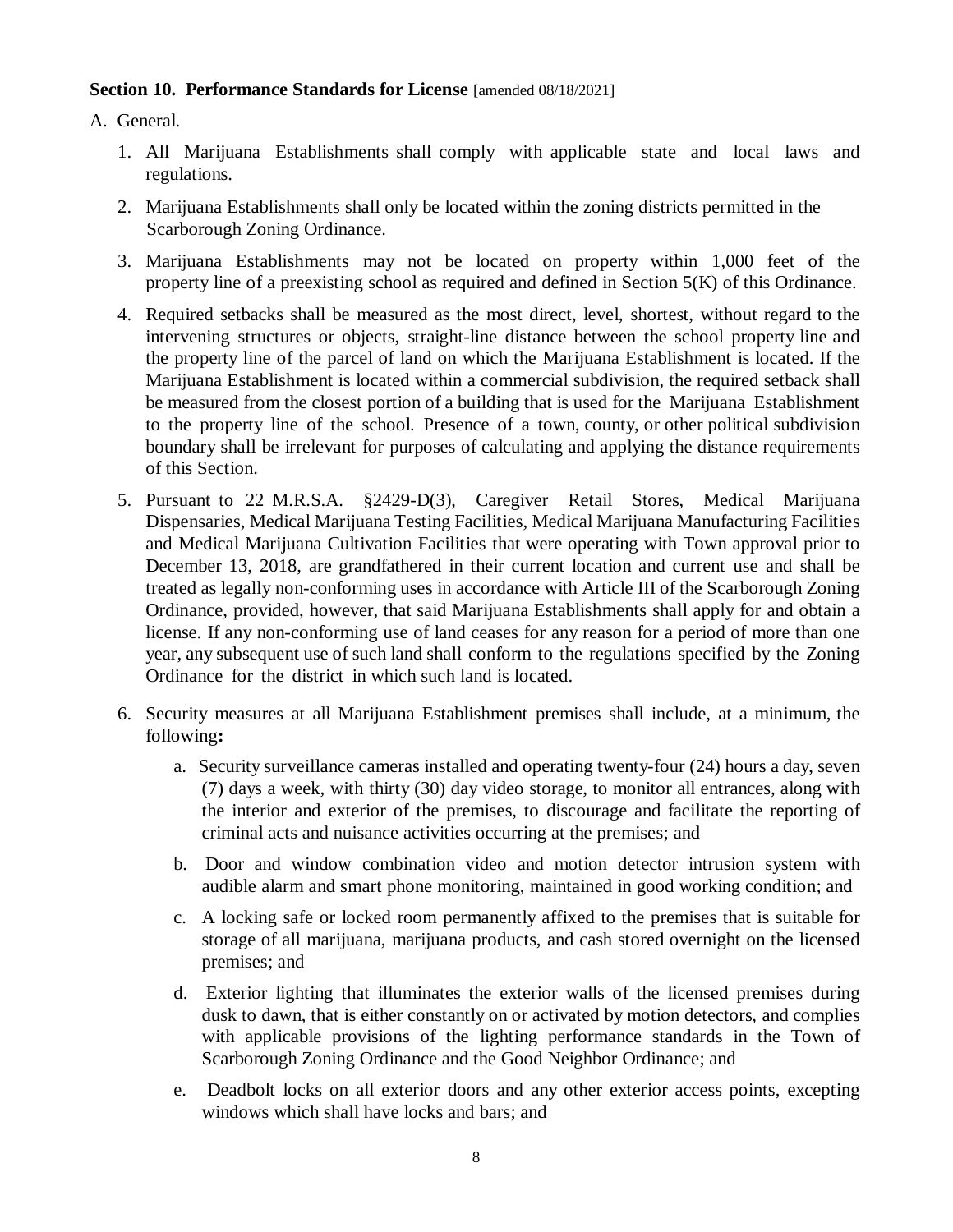#### **Section 10. Performance Standards for License** [amended 08/18/2021]

A. General.

- 1. All Marijuana Establishments shall comply with applicable state and local laws and regulations.
- 2. Marijuana Establishments shall only be located within the zoning districts permitted in the Scarborough Zoning Ordinance.
- 3. Marijuana Establishments may not be located on property within 1,000 feet of the property line of a preexisting school as required and defined in Section 5(K) of this Ordinance.
- 4. Required setbacks shall be measured as the most direct, level, shortest, without regard to the intervening structures or objects, straight-line distance between the school property line and the property line of the parcel of land on which the Marijuana Establishment is located. If the Marijuana Establishment is located within a commercial subdivision, the required setback shall be measured from the closest portion of a building that is used for the Marijuana Establishment to the property line of the school. Presence of a town, county, or other political subdivision boundary shall be irrelevant for purposes of calculating and applying the distance requirements of this Section.
- 5. Pursuant to 22 M.R.S.A. §2429-D(3), Caregiver Retail Stores, Medical Marijuana Dispensaries, Medical Marijuana Testing Facilities, Medical Marijuana Manufacturing Facilities and Medical Marijuana Cultivation Facilities that were operating with Town approval prior to December 13, 2018, are grandfathered in their current location and current use and shall be treated as legally non-conforming uses in accordance with Article III of the Scarborough Zoning Ordinance, provided, however, that said Marijuana Establishments shall apply for and obtain a license. If any non-conforming use of land ceases for any reason for a period of more than one year, any subsequent use of such land shall conform to the regulations specified by the Zoning Ordinance for the district in which such land is located.
- 6. Security measures at all Marijuana Establishment premises shall include, at a minimum, the following**:**
	- a. Security surveillance cameras installed and operating twenty-four (24) hours a day, seven (7) days a week, with thirty (30) day video storage, to monitor all entrances, along with the interior and exterior of the premises, to discourage and facilitate the reporting of criminal acts and nuisance activities occurring at the premises; and
	- b. Door and window combination video and motion detector intrusion system with audible alarm and smart phone monitoring, maintained in good working condition; and
	- c. A locking safe or locked room permanently affixed to the premises that is suitable for storage of all marijuana, marijuana products, and cash stored overnight on the licensed premises; and
	- d. Exterior lighting that illuminates the exterior walls of the licensed premises during dusk to dawn, that is either constantly on or activated by motion detectors, and complies with applicable provisions of the lighting performance standards in the Town of Scarborough Zoning Ordinance and the Good Neighbor Ordinance; and
	- e. Deadbolt locks on all exterior doors and any other exterior access points, excepting windows which shall have locks and bars; and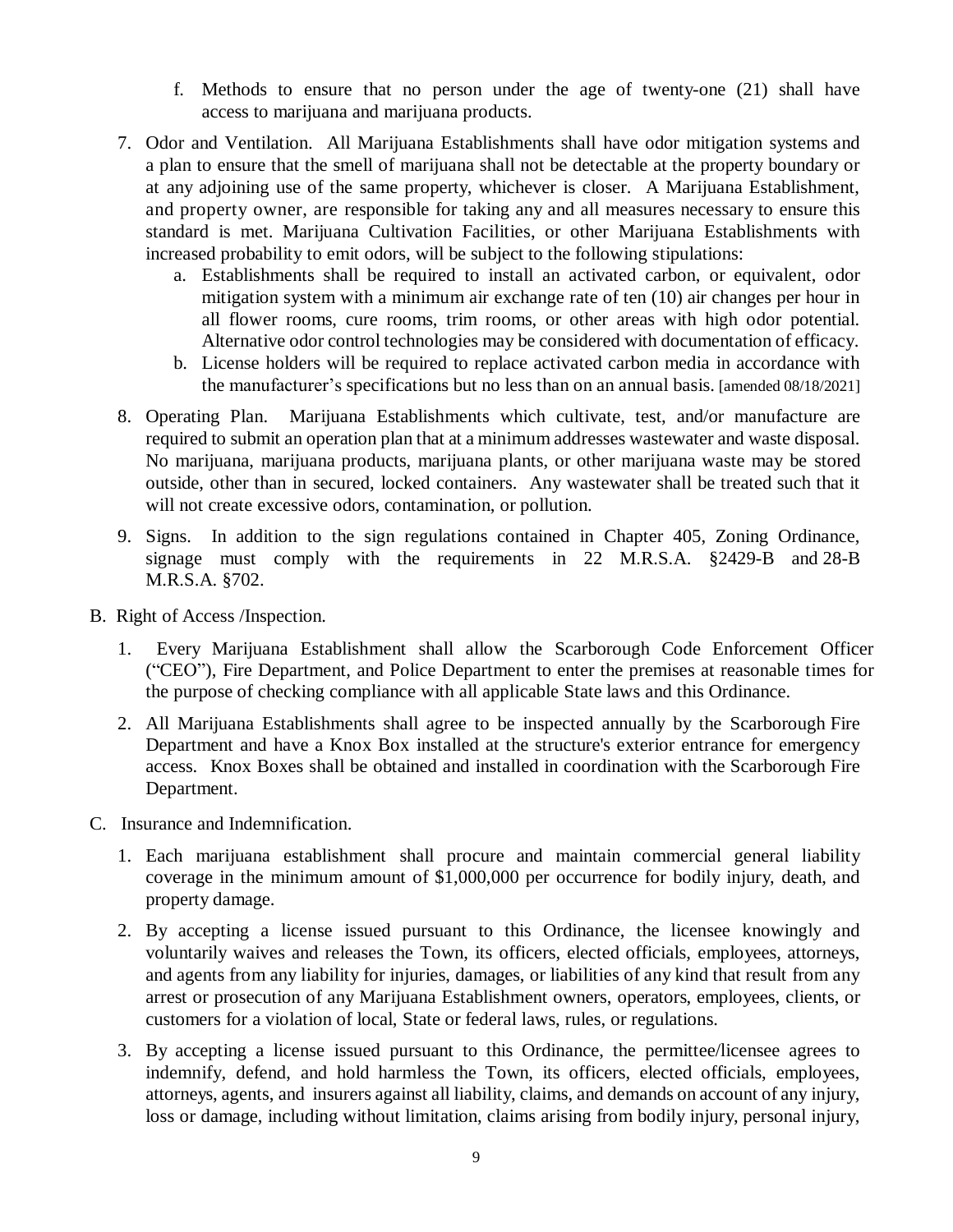- f. Methods to ensure that no person under the age of twenty-one (21) shall have access to marijuana and marijuana products.
- 7. Odor and Ventilation. All Marijuana Establishments shall have odor mitigation systems and a plan to ensure that the smell of marijuana shall not be detectable at the property boundary or at any adjoining use of the same property, whichever is closer. A Marijuana Establishment, and property owner, are responsible for taking any and all measures necessary to ensure this standard is met. Marijuana Cultivation Facilities, or other Marijuana Establishments with increased probability to emit odors, will be subject to the following stipulations:
	- a. Establishments shall be required to install an activated carbon, or equivalent, odor mitigation system with a minimum air exchange rate of ten (10) air changes per hour in all flower rooms, cure rooms, trim rooms, or other areas with high odor potential. Alternative odor control technologies may be considered with documentation of efficacy.
	- b. License holders will be required to replace activated carbon media in accordance with the manufacturer's specifications but no less than on an annual basis. [amended 08/18/2021]
- 8. Operating Plan. Marijuana Establishments which cultivate, test, and/or manufacture are required to submit an operation plan that at a minimum addresses wastewater and waste disposal. No marijuana, marijuana products, marijuana plants, or other marijuana waste may be stored outside, other than in secured, locked containers. Any wastewater shall be treated such that it will not create excessive odors, contamination, or pollution.
- 9. Signs. In addition to the sign regulations contained in Chapter 405, Zoning Ordinance, signage must comply with the requirements in 22 M.R.S.A. §2429-B and 28-B M.R.S.A. §702.
- B. Right of Access /Inspection.
	- 1. Every Marijuana Establishment shall allow the Scarborough Code Enforcement Officer ("CEO"), Fire Department, and Police Department to enter the premises at reasonable times for the purpose of checking compliance with all applicable State laws and this Ordinance.
	- 2. All Marijuana Establishments shall agree to be inspected annually by the Scarborough Fire Department and have a Knox Box installed at the structure's exterior entrance for emergency access. Knox Boxes shall be obtained and installed in coordination with the Scarborough Fire Department.
- C. Insurance and Indemnification.
	- 1. Each marijuana establishment shall procure and maintain commercial general liability coverage in the minimum amount of \$1,000,000 per occurrence for bodily injury, death, and property damage.
	- 2. By accepting a license issued pursuant to this Ordinance, the licensee knowingly and voluntarily waives and releases the Town, its officers, elected officials, employees, attorneys, and agents from any liability for injuries, damages, or liabilities of any kind that result from any arrest or prosecution of any Marijuana Establishment owners, operators, employees, clients, or customers for a violation of local, State or federal laws, rules, or regulations.
	- 3. By accepting a license issued pursuant to this Ordinance, the permittee/licensee agrees to indemnify, defend, and hold harmless the Town, its officers, elected officials, employees, attorneys, agents, and insurers against all liability, claims, and demands on account of any injury, loss or damage, including without limitation, claims arising from bodily injury, personal injury,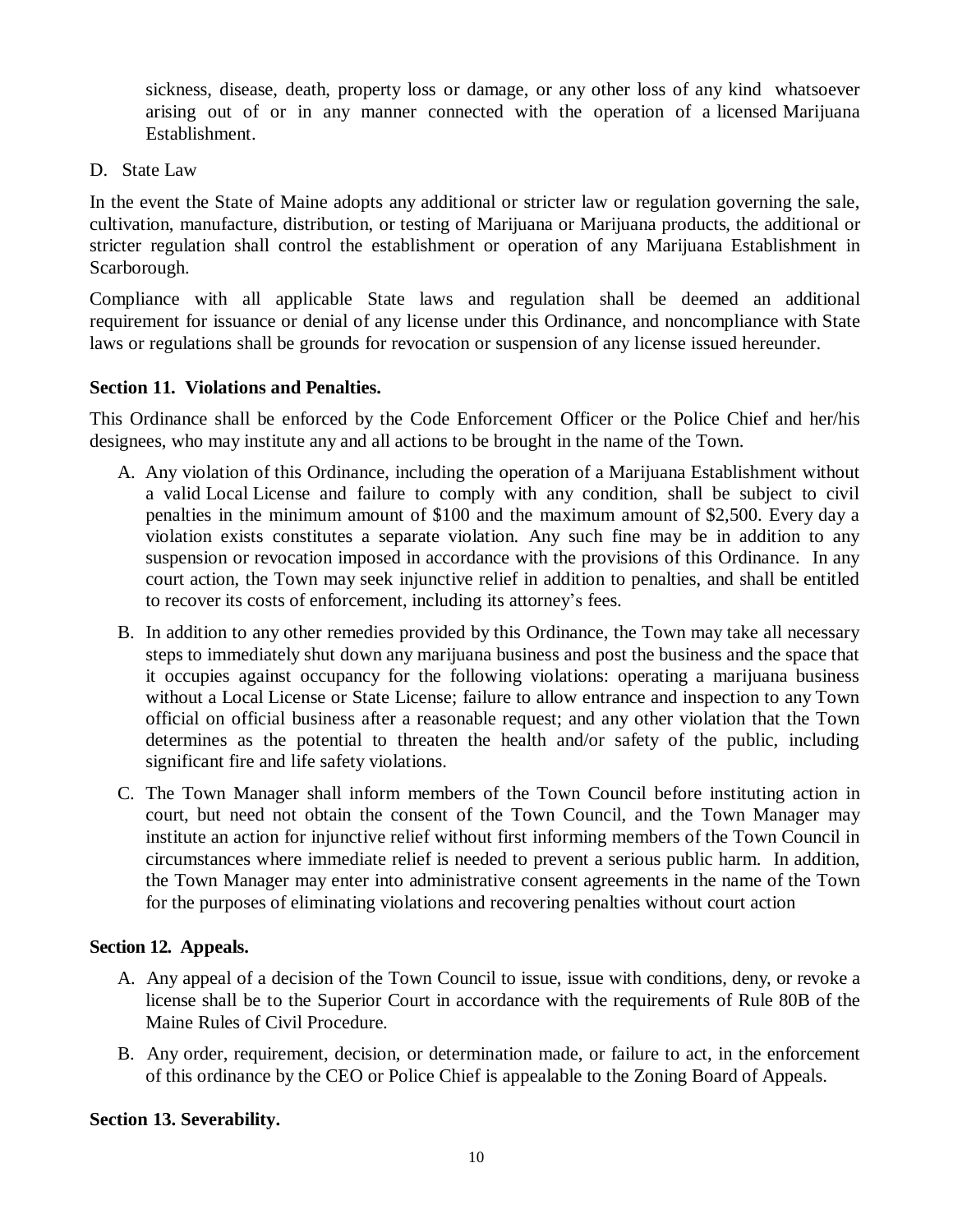sickness, disease, death, property loss or damage, or any other loss of any kind whatsoever arising out of or in any manner connected with the operation of a licensed Marijuana Establishment.

D. State Law

In the event the State of Maine adopts any additional or stricter law or regulation governing the sale, cultivation, manufacture, distribution, or testing of Marijuana or Marijuana products, the additional or stricter regulation shall control the establishment or operation of any Marijuana Establishment in Scarborough.

Compliance with all applicable State laws and regulation shall be deemed an additional requirement for issuance or denial of any license under this Ordinance, and noncompliance with State laws or regulations shall be grounds for revocation or suspension of any license issued hereunder.

# **Section 11. Violations and Penalties.**

This Ordinance shall be enforced by the Code Enforcement Officer or the Police Chief and her/his designees, who may institute any and all actions to be brought in the name of the Town.

- A. Any violation of this Ordinance, including the operation of a Marijuana Establishment without a valid Local License and failure to comply with any condition, shall be subject to civil penalties in the minimum amount of \$100 and the maximum amount of \$2,500. Every day a violation exists constitutes a separate violation. Any such fine may be in addition to any suspension or revocation imposed in accordance with the provisions of this Ordinance. In any court action, the Town may seek injunctive relief in addition to penalties, and shall be entitled to recover its costs of enforcement, including its attorney's fees.
- B. In addition to any other remedies provided by this Ordinance, the Town may take all necessary steps to immediately shut down any marijuana business and post the business and the space that it occupies against occupancy for the following violations: operating a marijuana business without a Local License or State License; failure to allow entrance and inspection to any Town official on official business after a reasonable request; and any other violation that the Town determines as the potential to threaten the health and/or safety of the public, including significant fire and life safety violations.
- C. The Town Manager shall inform members of the Town Council before instituting action in court, but need not obtain the consent of the Town Council, and the Town Manager may institute an action for injunctive relief without first informing members of the Town Council in circumstances where immediate relief is needed to prevent a serious public harm. In addition, the Town Manager may enter into administrative consent agreements in the name of the Town for the purposes of eliminating violations and recovering penalties without court action

# **Section 12. Appeals.**

- A. Any appeal of a decision of the Town Council to issue, issue with conditions, deny, or revoke a license shall be to the Superior Court in accordance with the requirements of Rule 80B of the Maine Rules of Civil Procedure.
- B. Any order, requirement, decision, or determination made, or failure to act, in the enforcement of this ordinance by the CEO or Police Chief is appealable to the Zoning Board of Appeals.

# **Section 13. Severability.**